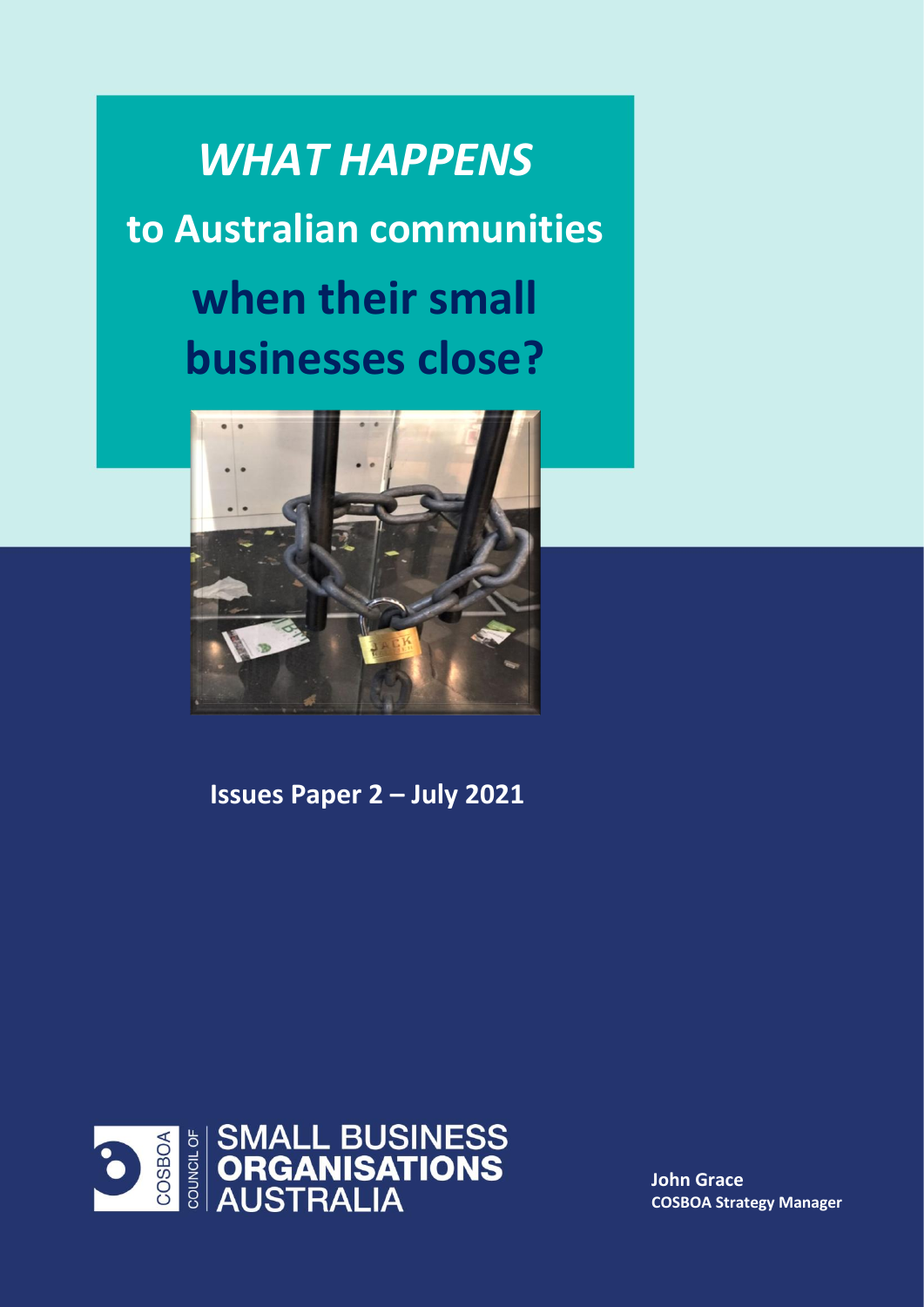*WHAT HAPPENS*  **to Australian communities when their small businesses close?**



**Issues Paper 2 – July 2021**



**John Grace COSBOA Strategy Manager**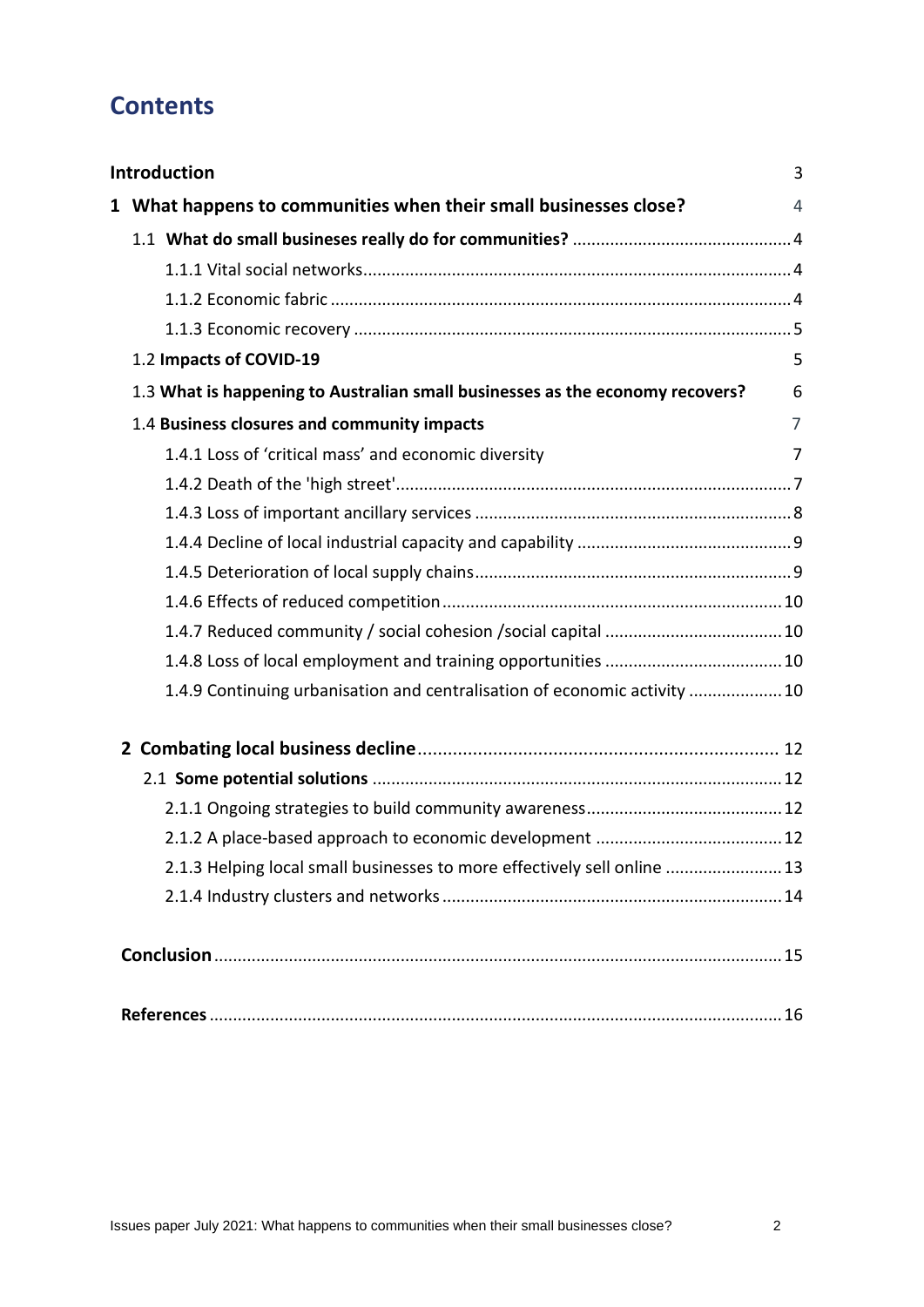# **Contents**

| <b>Introduction</b>                                                           | 3 |
|-------------------------------------------------------------------------------|---|
| 1 What happens to communities when their small businesses close?              | 4 |
|                                                                               |   |
|                                                                               |   |
|                                                                               |   |
|                                                                               |   |
| 1.2 Impacts of COVID-19                                                       | 5 |
| 1.3 What is happening to Australian small businesses as the economy recovers? | 6 |
| 1.4 Business closures and community impacts                                   | 7 |
| 1.4.1 Loss of 'critical mass' and economic diversity                          | 7 |
|                                                                               |   |
|                                                                               |   |
|                                                                               |   |
|                                                                               |   |
|                                                                               |   |
|                                                                               |   |
|                                                                               |   |
| 1.4.9 Continuing urbanisation and centralisation of economic activity  10     |   |
|                                                                               |   |
|                                                                               |   |
|                                                                               |   |
|                                                                               |   |
| 2.1.3 Helping local small businesses to more effectively sell online  13      |   |
|                                                                               |   |
|                                                                               |   |
|                                                                               |   |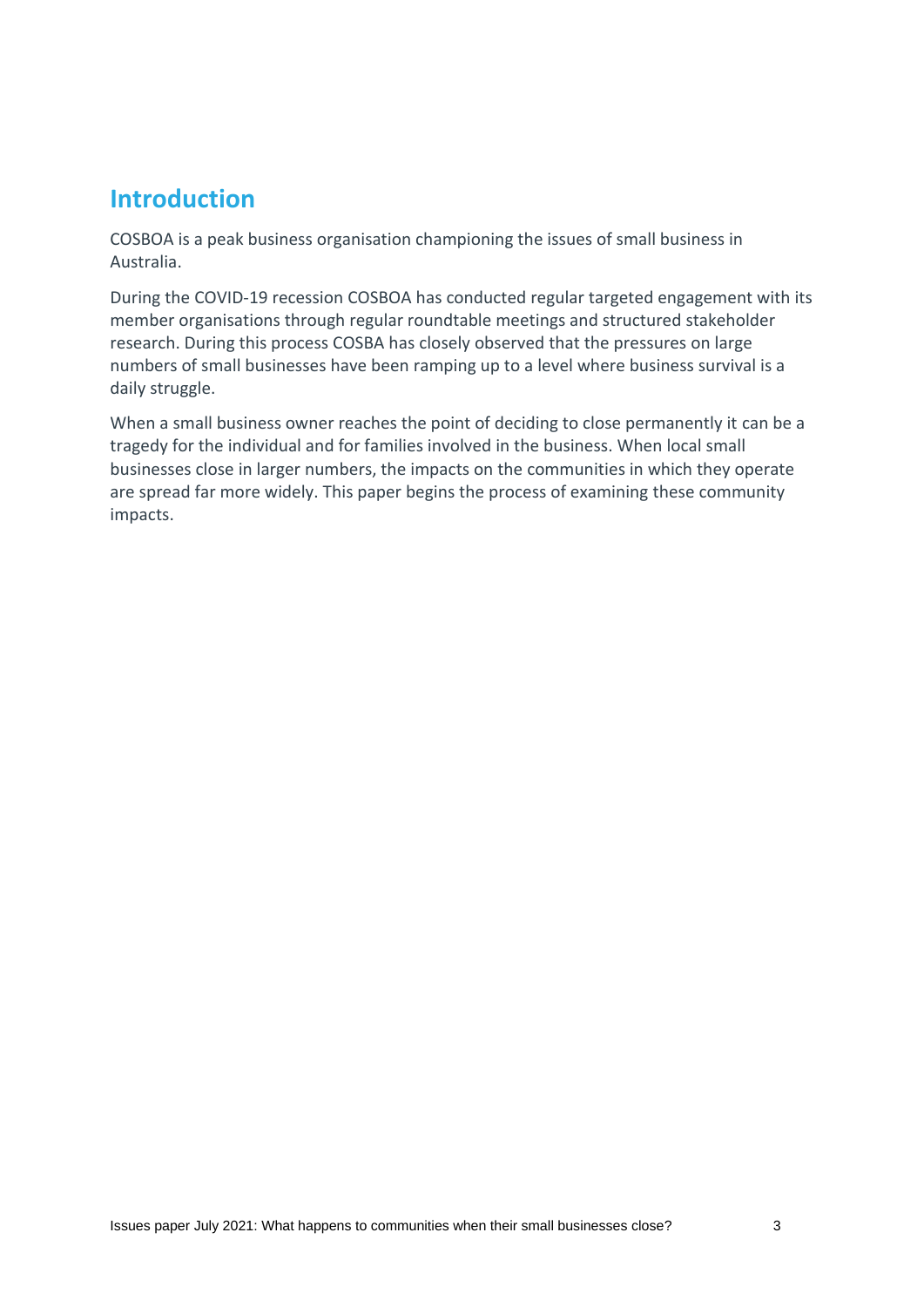# **Introduction**

COSBOA is a peak business organisation championing the issues of small business in Australia.

During the COVID-19 recession COSBOA has conducted regular targeted engagement with its member organisations through regular roundtable meetings and structured stakeholder research. During this process COSBA has closely observed that the pressures on large numbers of small businesses have been ramping up to a level where business survival is a daily struggle.

When a small business owner reaches the point of deciding to close permanently it can be a tragedy for the individual and for families involved in the business. When local small businesses close in larger numbers, the impacts on the communities in which they operate are spread far more widely. This paper begins the process of examining these community impacts.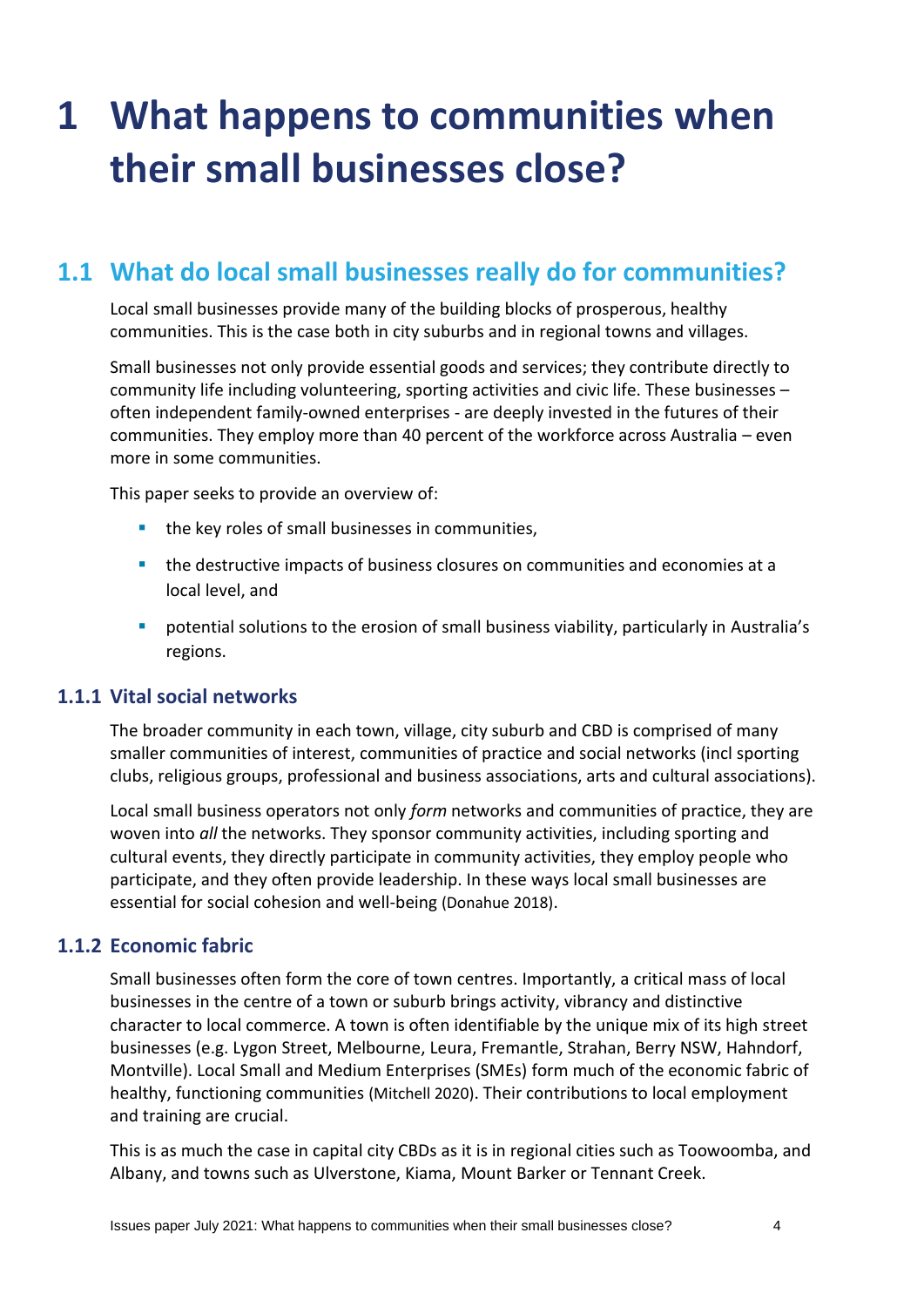# **1 What happens to communities when their small businesses close?**

# **1.1 What do local small businesses really do for communities?**

Local small businesses provide many of the building blocks of prosperous, healthy communities. This is the case both in city suburbs and in regional towns and villages.

Small businesses not only provide essential goods and services; they contribute directly to community life including volunteering, sporting activities and civic life. These businesses – often independent family-owned enterprises - are deeply invested in the futures of their communities. They employ more than 40 percent of the workforce across Australia – even more in some communities.

This paper seeks to provide an overview of:

- the key roles of small businesses in communities,
- **.** the destructive impacts of business closures on communities and economies at a local level, and
- potential solutions to the erosion of small business viability, particularly in Australia's regions.

#### **1.1.1 Vital social networks**

The broader community in each town, village, city suburb and CBD is comprised of many smaller communities of interest, communities of practice and social networks (incl sporting clubs, religious groups, professional and business associations, arts and cultural associations).

Local small business operators not only *form* networks and communities of practice, they are woven into *all* the networks. They sponsor community activities, including sporting and cultural events, they directly participate in community activities, they employ people who participate, and they often provide leadership. In these ways local small businesses are essential for social cohesion and well-being (Donahue 2018).

## **1.1.2 Economic fabric**

Small businesses often form the core of town centres. Importantly, a critical mass of local businesses in the centre of a town or suburb brings activity, vibrancy and distinctive character to local commerce. A town is often identifiable by the unique mix of its high street businesses (e.g. Lygon Street, Melbourne, Leura, Fremantle, Strahan, Berry NSW, Hahndorf, Montville). Local Small and Medium Enterprises (SMEs) form much of the economic fabric of healthy, functioning communities (Mitchell 2020). Their contributions to local employment and training are crucial.

This is as much the case in capital city CBDs as it is in regional cities such as Toowoomba, and Albany, and towns such as Ulverstone, Kiama, Mount Barker or Tennant Creek.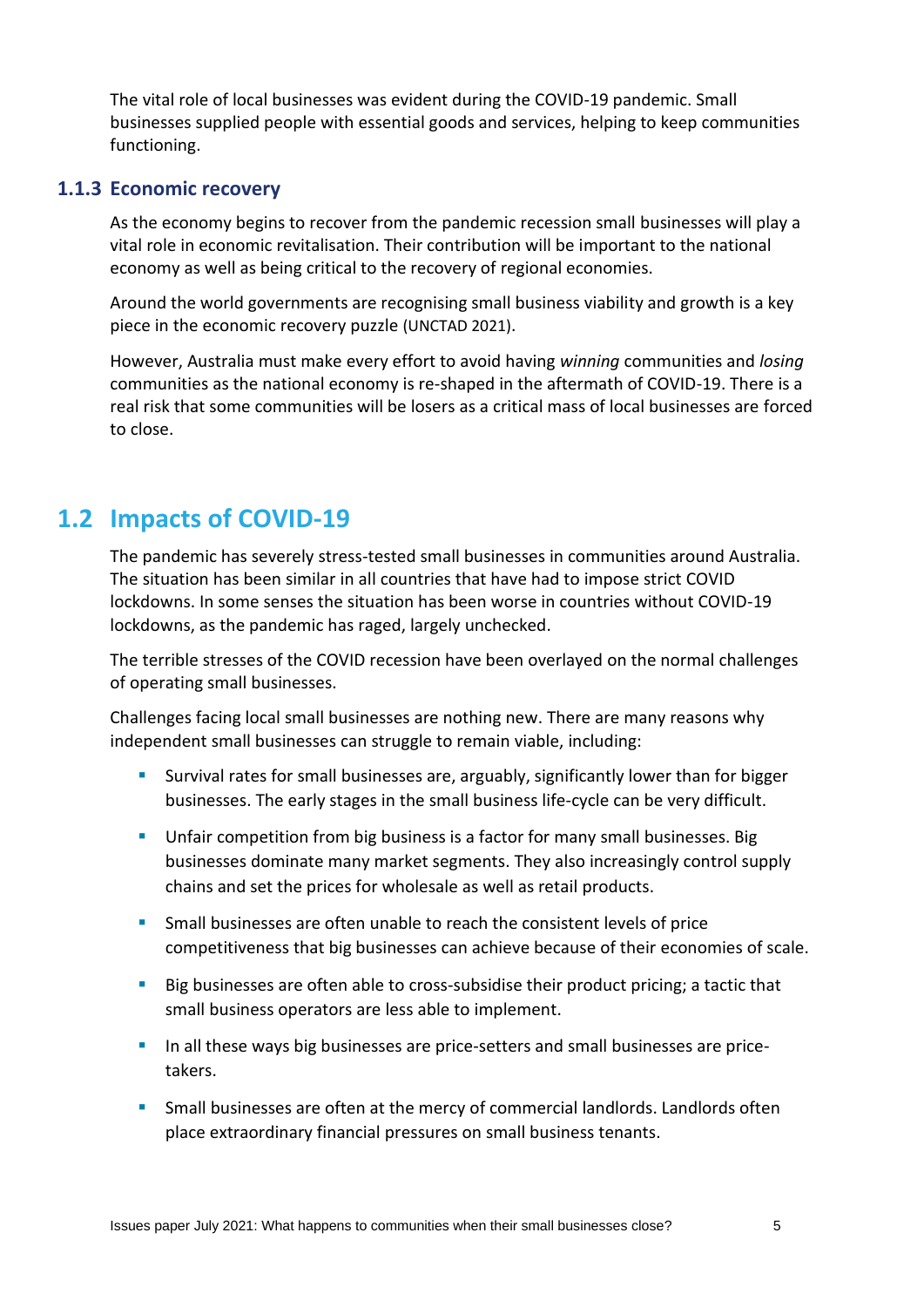The vital role of local businesses was evident during the COVID-19 pandemic. Small businesses supplied people with essential goods and services, helping to keep communities functioning.

#### **1.1.3 Economic recovery**

As the economy begins to recover from the pandemic recession small businesses will play a vital role in economic revitalisation. Their contribution will be important to the national economy as well as being critical to the recovery of regional economies.

Around the world governments are recognising small business viability and growth is a key piece in the economic recovery puzzle (UNCTAD 2021).

However, Australia must make every effort to avoid having *winning* communities and *losing* communities as the national economy is re-shaped in the aftermath of COVID-19. There is a real risk that some communities will be losers as a critical mass of local businesses are forced to close.

# **1.2 Impacts of COVID-19**

The pandemic has severely stress-tested small businesses in communities around Australia. The situation has been similar in all countries that have had to impose strict COVID lockdowns. In some senses the situation has been worse in countries without COVID-19 lockdowns, as the pandemic has raged, largely unchecked.

The terrible stresses of the COVID recession have been overlayed on the normal challenges of operating small businesses.

Challenges facing local small businesses are nothing new. There are many reasons why independent small businesses can struggle to remain viable, including:

- **EXT** Survival rates for small businesses are, arguably, significantly lower than for bigger businesses. The early stages in the small business life-cycle can be very difficult.
- **■** Unfair competition from big business is a factor for many small businesses. Big businesses dominate many market segments. They also increasingly control supply chains and set the prices for wholesale as well as retail products.
- **Small businesses are often unable to reach the consistent levels of price** competitiveness that big businesses can achieve because of their economies of scale.
- Big businesses are often able to cross-subsidise their product pricing; a tactic that small business operators are less able to implement.
- **In all these ways big businesses are price-setters and small businesses are price**takers.
- **EXT** Small businesses are often at the mercy of commercial landlords. Landlords often place extraordinary financial pressures on small business tenants.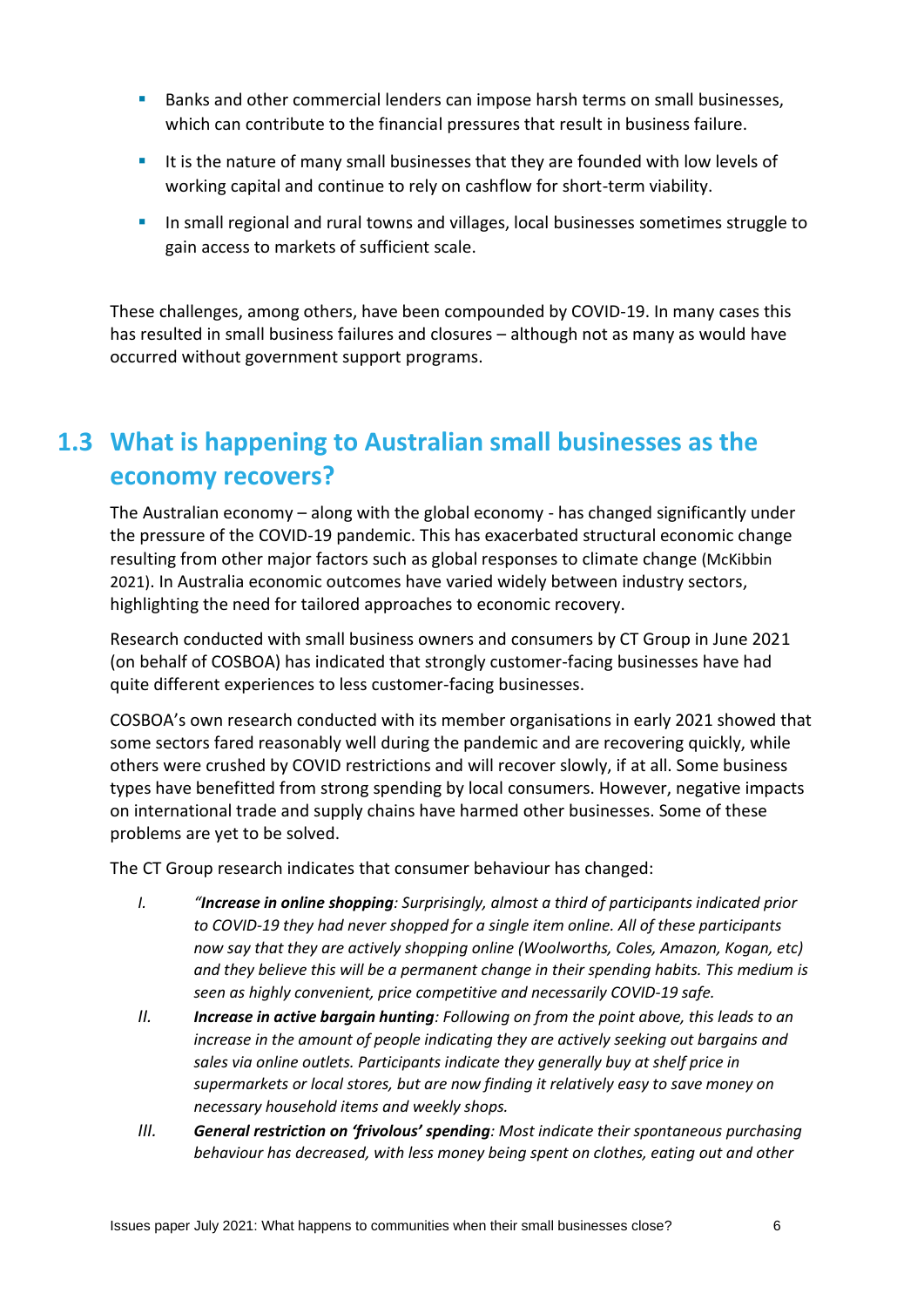- **E** Banks and other commercial lenders can impose harsh terms on small businesses, which can contribute to the financial pressures that result in business failure.
- **.** It is the nature of many small businesses that they are founded with low levels of working capital and continue to rely on cashflow for short-term viability.
- **■** In small regional and rural towns and villages, local businesses sometimes struggle to gain access to markets of sufficient scale.

These challenges, among others, have been compounded by COVID-19. In many cases this has resulted in small business failures and closures – although not as many as would have occurred without government support programs.

# **1.3 What is happening to Australian small businesses as the economy recovers?**

The Australian economy – along with the global economy - has changed significantly under the pressure of the COVID-19 pandemic. This has exacerbated structural economic change resulting from other major factors such as global responses to climate change (McKibbin 2021). In Australia economic outcomes have varied widely between industry sectors, highlighting the need for tailored approaches to economic recovery.

Research conducted with small business owners and consumers by CT Group in June 2021 (on behalf of COSBOA) has indicated that strongly customer-facing businesses have had quite different experiences to less customer-facing businesses.

COSBOA's own research conducted with its member organisations in early 2021 showed that some sectors fared reasonably well during the pandemic and are recovering quickly, while others were crushed by COVID restrictions and will recover slowly, if at all. Some business types have benefitted from strong spending by local consumers. However, negative impacts on international trade and supply chains have harmed other businesses. Some of these problems are yet to be solved.

The CT Group research indicates that consumer behaviour has changed:

- *I. "Increase in online shopping: Surprisingly, almost a third of participants indicated prior to COVID-19 they had never shopped for a single item online. All of these participants now say that they are actively shopping online (Woolworths, Coles, Amazon, Kogan, etc) and they believe this will be a permanent change in their spending habits. This medium is seen as highly convenient, price competitive and necessarily COVID-19 safe.*
- *II. Increase in active bargain hunting: Following on from the point above, this leads to an increase in the amount of people indicating they are actively seeking out bargains and sales via online outlets. Participants indicate they generally buy at shelf price in supermarkets or local stores, but are now finding it relatively easy to save money on necessary household items and weekly shops.*
- *III. General restriction on 'frivolous' spending: Most indicate their spontaneous purchasing behaviour has decreased, with less money being spent on clothes, eating out and other*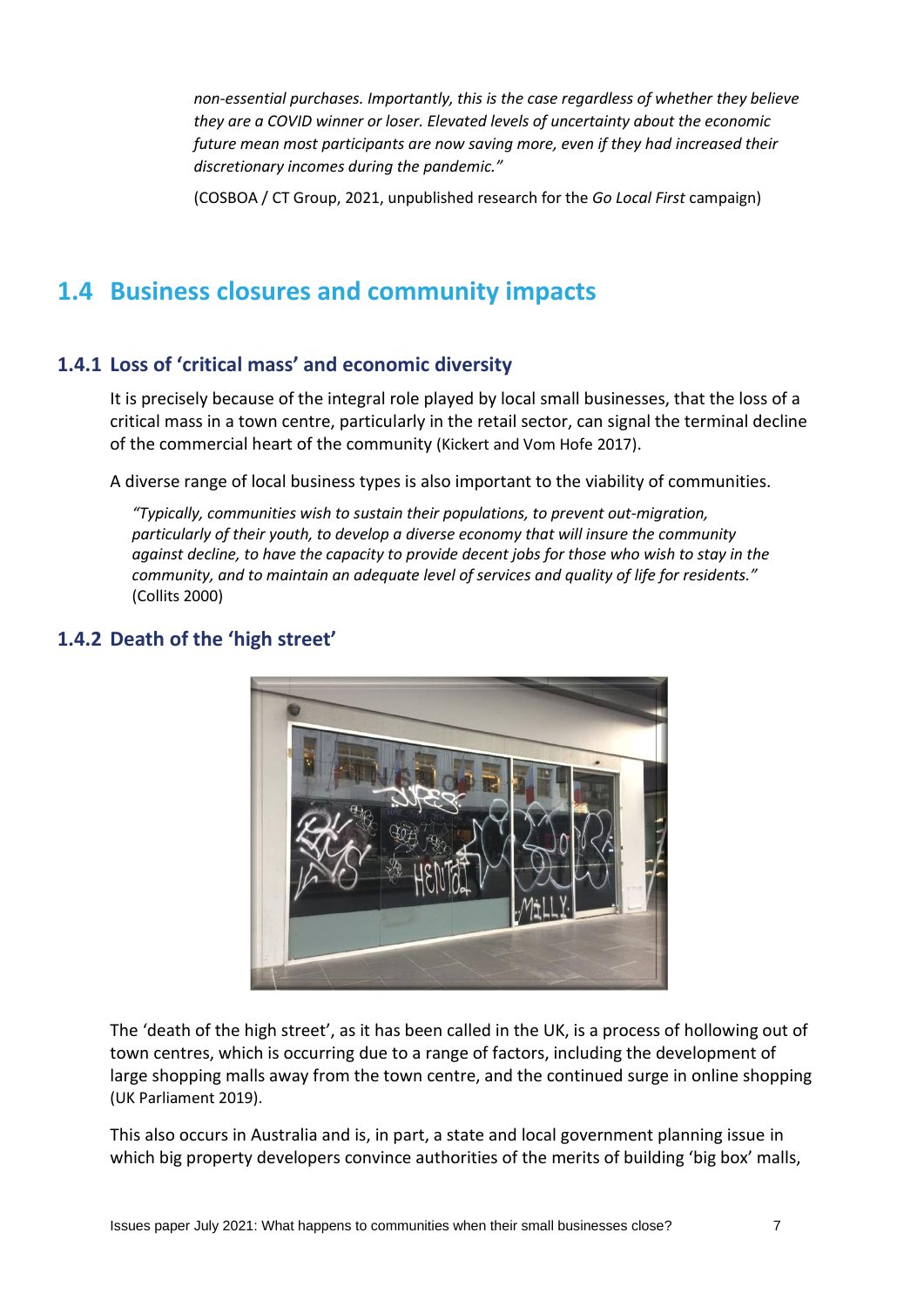*non-essential purchases. Importantly, this is the case regardless of whether they believe they are a COVID winner or loser. Elevated levels of uncertainty about the economic future mean most participants are now saving more, even if they had increased their discretionary incomes during the pandemic."*

(COSBOA / CT Group, 2021, unpublished research for the *Go Local First* campaign)

# **1.4 Business closures and community impacts**

## **1.4.1 Loss of 'critical mass' and economic diversity**

It is precisely because of the integral role played by local small businesses, that the loss of a critical mass in a town centre, particularly in the retail sector, can signal the terminal decline of the commercial heart of the community (Kickert and Vom Hofe 2017).

A diverse range of local business types is also important to the viability of communities.

*"Typically, communities wish to sustain their populations, to prevent out-migration, particularly of their youth, to develop a diverse economy that will insure the community against decline, to have the capacity to provide decent jobs for those who wish to stay in the*  community, and to maintain an adequate level of services and quality of life for residents." (Collits 2000)



# **1.4.2 Death of the 'high street'**

The 'death of the high street', as it has been called in the UK, is a process of hollowing out of town centres, which is occurring due to a range of factors, including the development of large shopping malls away from the town centre, and the continued surge in online shopping (UK Parliament 2019).

This also occurs in Australia and is, in part, a state and local government planning issue in which big property developers convince authorities of the merits of building 'big box' malls,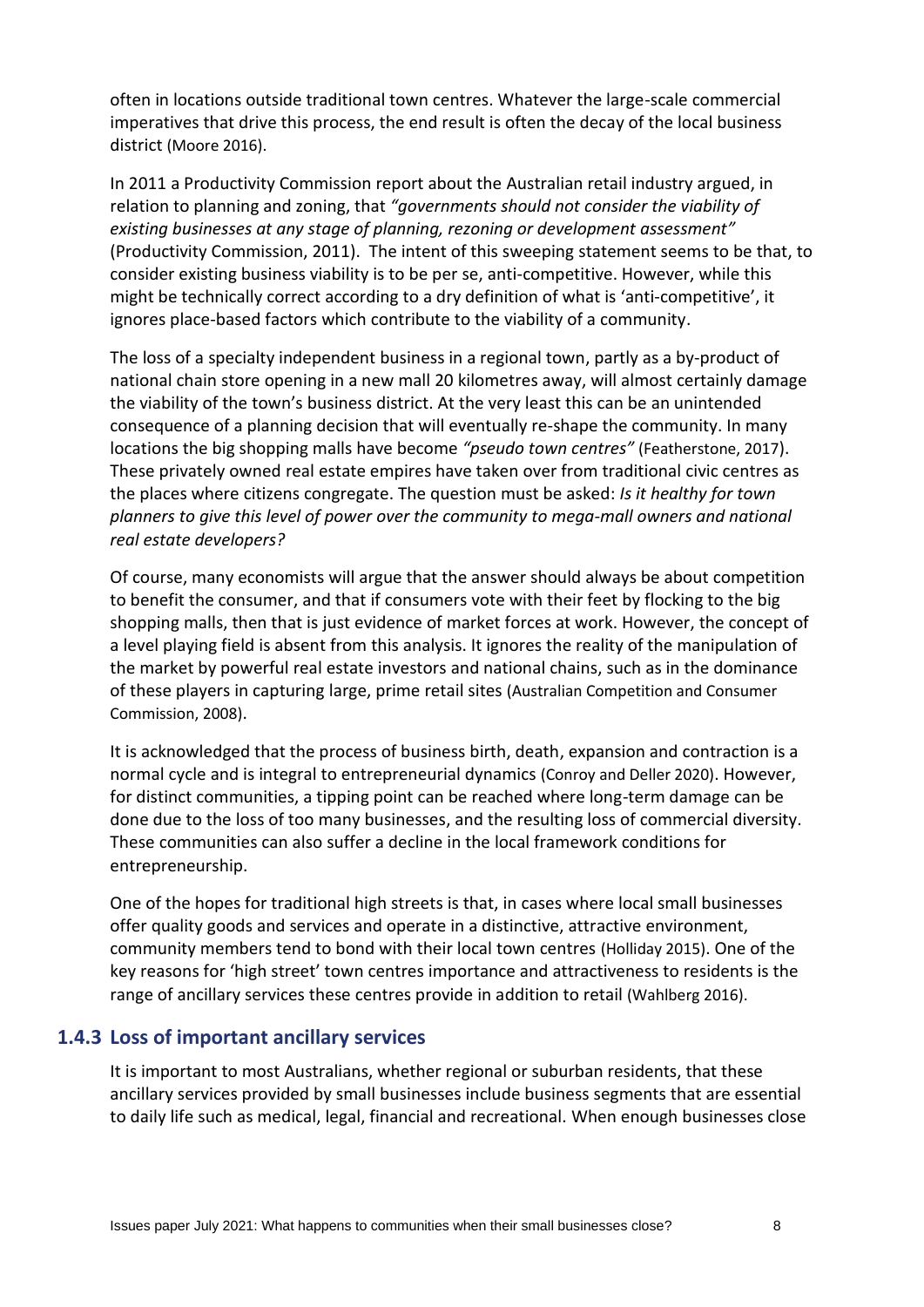often in locations outside traditional town centres. Whatever the large-scale commercial imperatives that drive this process, the end result is often the decay of the local business district (Moore 2016).

In 2011 a Productivity Commission report about the Australian retail industry argued, in relation to planning and zoning, that *"governments should not consider the viability of existing businesses at any stage of planning, rezoning or development assessment"* (Productivity Commission, 2011). The intent of this sweeping statement seems to be that, to consider existing business viability is to be per se, anti-competitive. However, while this might be technically correct according to a dry definition of what is 'anti-competitive', it ignores place-based factors which contribute to the viability of a community.

The loss of a specialty independent business in a regional town, partly as a by-product of national chain store opening in a new mall 20 kilometres away, will almost certainly damage the viability of the town's business district. At the very least this can be an unintended consequence of a planning decision that will eventually re-shape the community. In many locations the big shopping malls have become *"pseudo town centres"* (Featherstone, 2017). These privately owned real estate empires have taken over from traditional civic centres as the places where citizens congregate. The question must be asked: *Is it healthy for town planners to give this level of power over the community to mega-mall owners and national real estate developers?*

Of course, many economists will argue that the answer should always be about competition to benefit the consumer, and that if consumers vote with their feet by flocking to the big shopping malls, then that is just evidence of market forces at work. However, the concept of a level playing field is absent from this analysis. It ignores the reality of the manipulation of the market by powerful real estate investors and national chains, such as in the dominance of these players in capturing large, prime retail sites (Australian Competition and Consumer Commission, 2008).

It is acknowledged that the process of business birth, death, expansion and contraction is a normal cycle and is integral to entrepreneurial dynamics (Conroy and Deller 2020). However, for distinct communities, a tipping point can be reached where long-term damage can be done due to the loss of too many businesses, and the resulting loss of commercial diversity. These communities can also suffer a decline in the local framework conditions for entrepreneurship.

One of the hopes for traditional high streets is that, in cases where local small businesses offer quality goods and services and operate in a distinctive, attractive environment, community members tend to bond with their local town centres (Holliday 2015). One of the key reasons for 'high street' town centres importance and attractiveness to residents is the range of ancillary services these centres provide in addition to retail (Wahlberg 2016).

## **1.4.3 Loss of important ancillary services**

It is important to most Australians, whether regional or suburban residents, that these ancillary services provided by small businesses include business segments that are essential to daily life such as medical, legal, financial and recreational. When enough businesses close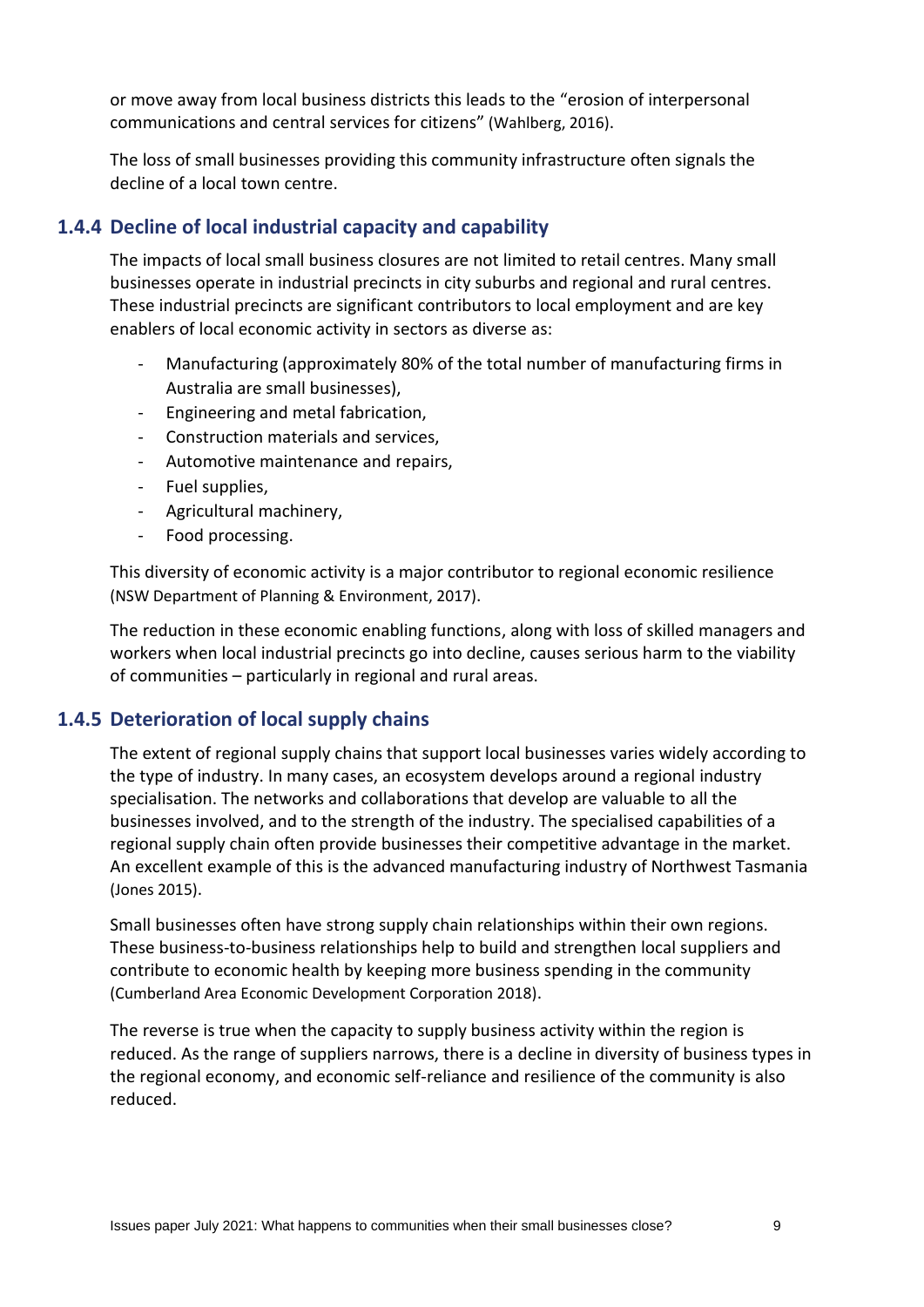or move away from local business districts this leads to the "erosion of interpersonal communications and central services for citizens" (Wahlberg, 2016).

The loss of small businesses providing this community infrastructure often signals the decline of a local town centre.

## **1.4.4 Decline of local industrial capacity and capability**

The impacts of local small business closures are not limited to retail centres. Many small businesses operate in industrial precincts in city suburbs and regional and rural centres. These industrial precincts are significant contributors to local employment and are key enablers of local economic activity in sectors as diverse as:

- Manufacturing (approximately 80% of the total number of manufacturing firms in Australia are small businesses),
- Engineering and metal fabrication,
- Construction materials and services,
- Automotive maintenance and repairs,
- Fuel supplies,
- Agricultural machinery,
- Food processing.

This diversity of economic activity is a major contributor to regional economic resilience (NSW Department of Planning & Environment, 2017).

The reduction in these economic enabling functions, along with loss of skilled managers and workers when local industrial precincts go into decline, causes serious harm to the viability of communities – particularly in regional and rural areas.

#### **1.4.5 Deterioration of local supply chains**

The extent of regional supply chains that support local businesses varies widely according to the type of industry. In many cases, an ecosystem develops around a regional industry specialisation. The networks and collaborations that develop are valuable to all the businesses involved, and to the strength of the industry. The specialised capabilities of a regional supply chain often provide businesses their competitive advantage in the market. An excellent example of this is the advanced manufacturing industry of Northwest Tasmania (Jones 2015).

Small businesses often have strong supply chain relationships within their own regions. These business-to-business relationships help to build and strengthen local suppliers and contribute to economic health by keeping more business spending in the community (Cumberland Area Economic Development Corporation 2018).

The reverse is true when the capacity to supply business activity within the region is reduced. As the range of suppliers narrows, there is a decline in diversity of business types in the regional economy, and economic self-reliance and resilience of the community is also reduced.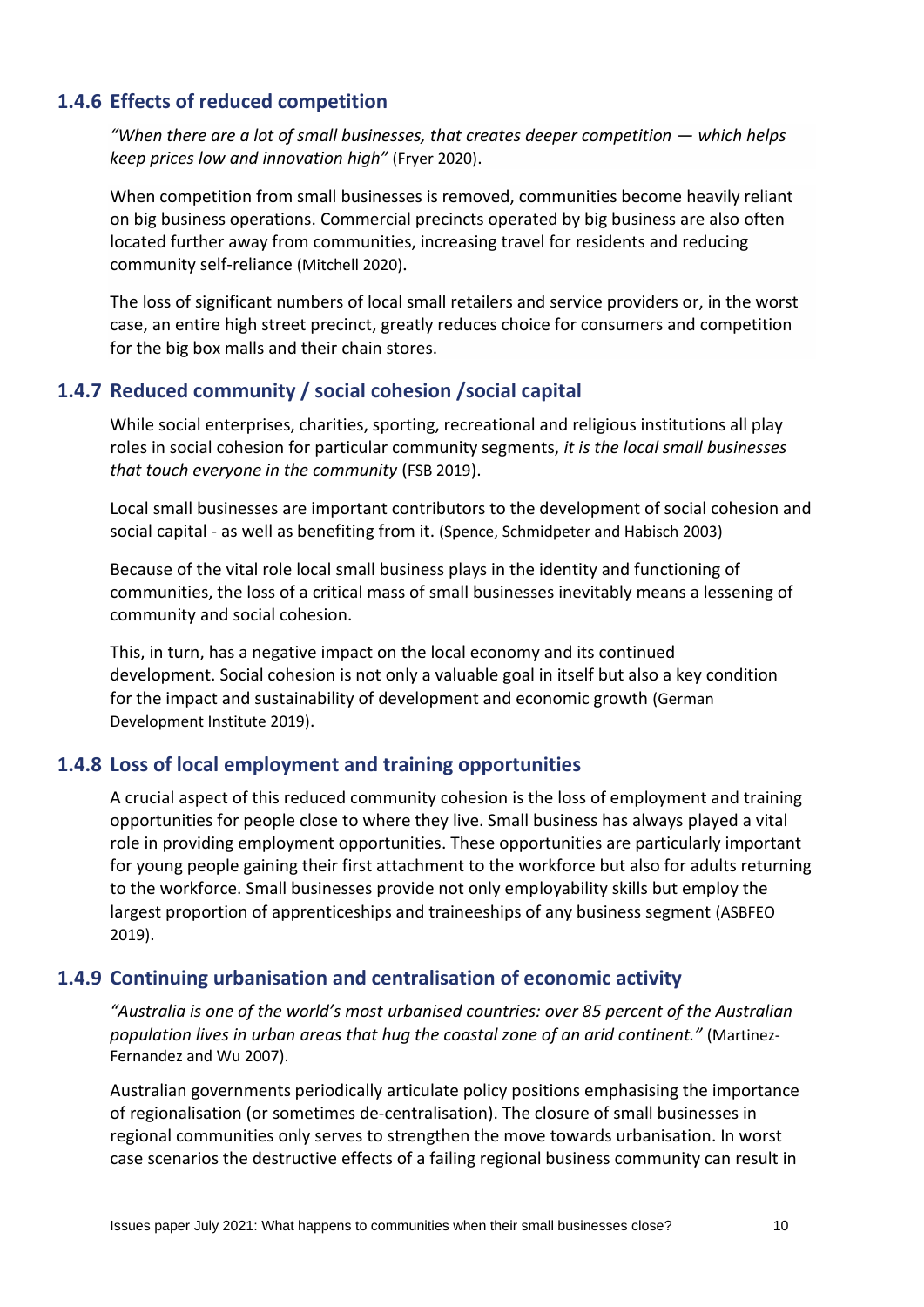## **1.4.6 Effects of reduced competition**

*"When there are a lot of small businesses, that creates deeper competition — which helps keep prices low and innovation high"* (Fryer 2020).

When competition from small businesses is removed, communities become heavily reliant on big business operations. Commercial precincts operated by big business are also often located further away from communities, increasing travel for residents and reducing community self-reliance (Mitchell 2020).

The loss of significant numbers of local small retailers and service providers or, in the worst case, an entire high street precinct, greatly reduces choice for consumers and competition for the big box malls and their chain stores.

## **1.4.7 Reduced community / social cohesion /social capital**

While social enterprises, charities, sporting, recreational and religious institutions all play roles in social cohesion for particular community segments, *it is the local small businesses that touch everyone in the community* (FSB 2019).

Local small businesses are important contributors to the development of social cohesion and social capital - as well as benefiting from it. (Spence, Schmidpeter and Habisch 2003)

Because of the vital role local small business plays in the identity and functioning of communities, the loss of a critical mass of small businesses inevitably means a lessening of community and social cohesion.

This, in turn, has a negative impact on the local economy and its continued development. Social cohesion is not only a valuable goal in itself but also a key condition for the impact and sustainability of development and economic growth (German Development Institute 2019).

#### **1.4.8 Loss of local employment and training opportunities**

A crucial aspect of this reduced community cohesion is the loss of employment and training opportunities for people close to where they live. Small business has always played a vital role in providing employment opportunities. These opportunities are particularly important for young people gaining their first attachment to the workforce but also for adults returning to the workforce. Small businesses provide not only employability skills but employ the largest proportion of apprenticeships and traineeships of any business segment (ASBFEO 2019).

#### **1.4.9 Continuing urbanisation and centralisation of economic activity**

*"Australia is one of the world's most urbanised countries: over 85 percent of the Australian population lives in urban areas that hug the coastal zone of an arid continent."* (Martinez-Fernandez and Wu 2007).

Australian governments periodically articulate policy positions emphasising the importance of regionalisation (or sometimes de-centralisation). The closure of small businesses in regional communities only serves to strengthen the move towards urbanisation. In worst case scenarios the destructive effects of a failing regional business community can result in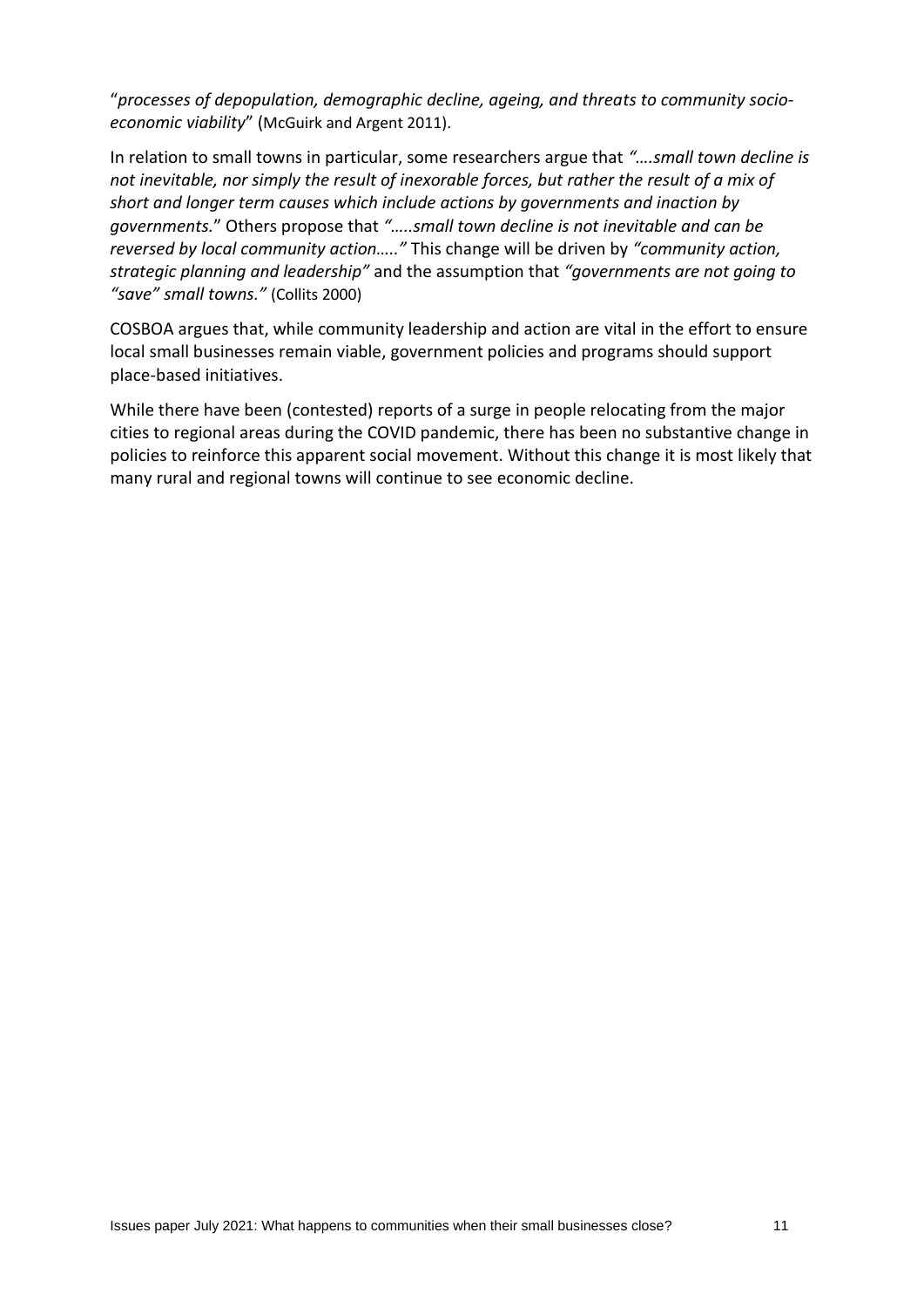"*processes of depopulation, demographic decline, ageing, and threats to community socioeconomic viability*" (McGuirk and Argent 2011).

In relation to small towns in particular, some researchers argue that *"….small town decline is not inevitable, nor simply the result of inexorable forces, but rather the result of a mix of short and longer term causes which include actions by governments and inaction by governments.*" Others propose that *"…..small town decline is not inevitable and can be reversed by local community action….."* This change will be driven by *"community action, strategic planning and leadership"* and the assumption that *"governments are not going to "save" small towns."* (Collits 2000)

COSBOA argues that, while community leadership and action are vital in the effort to ensure local small businesses remain viable, government policies and programs should support place-based initiatives.

While there have been (contested) reports of a surge in people relocating from the major cities to regional areas during the COVID pandemic, there has been no substantive change in policies to reinforce this apparent social movement. Without this change it is most likely that many rural and regional towns will continue to see economic decline.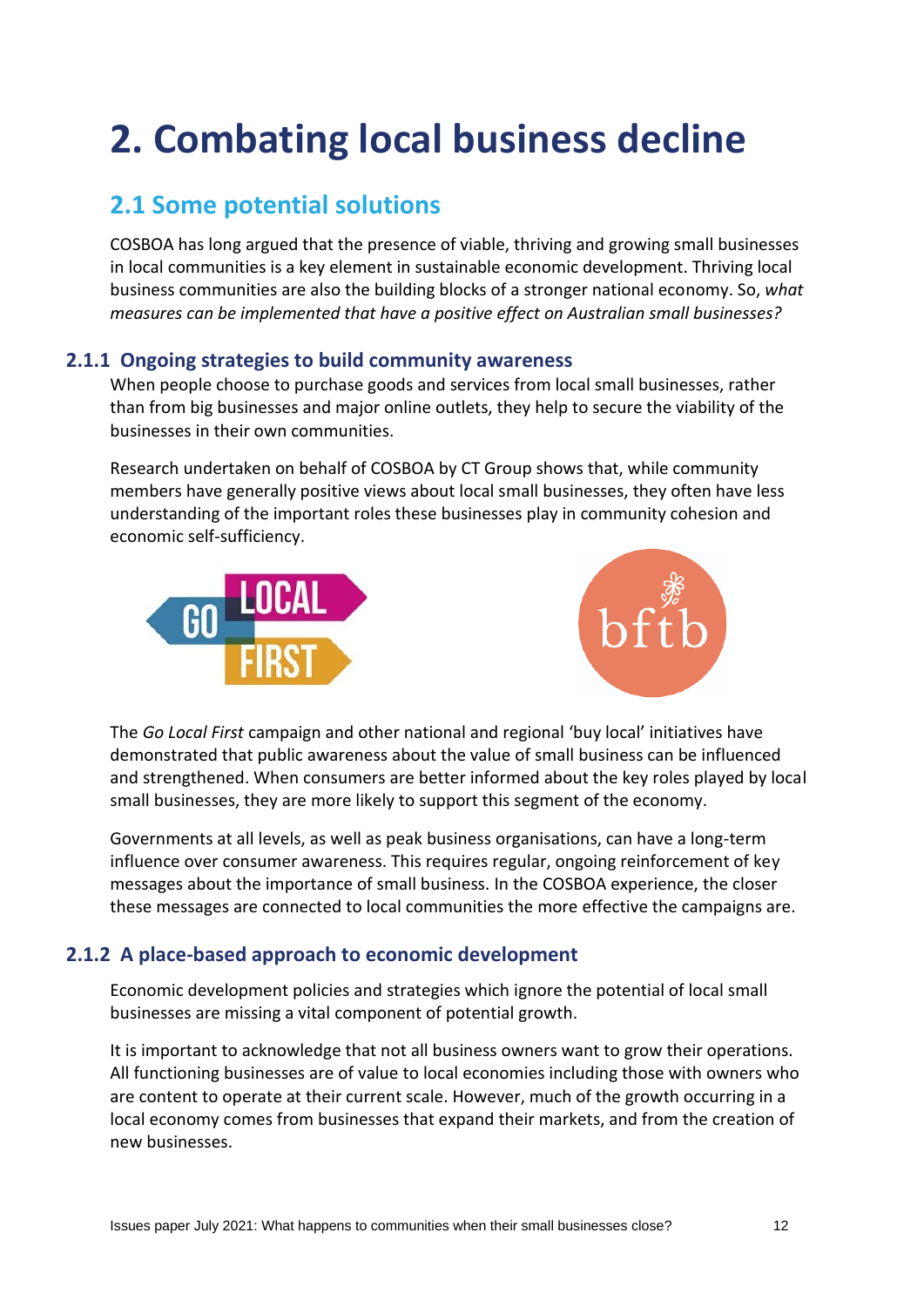# **2. Combating local business decline**

# **2.1 Some potential solutions**

COSBOA has long argued that the presence of viable, thriving and growing small businesses in local communities is a key element in sustainable economic development. Thriving local business communities are also the building blocks of a stronger national economy. So, *what measures can be implemented that have a positive effect on Australian small businesses?*

## **2.1.1 Ongoing strategies to build community awareness**

When people choose to purchase goods and services from local small businesses, rather than from big businesses and major online outlets, they help to secure the viability of the businesses in their own communities.

Research undertaken on behalf of COSBOA by CT Group shows that, while community members have generally positive views about local small businesses, they often have less understanding of the important roles these businesses play in community cohesion and economic self-sufficiency.





The *Go Local First* campaign and other national and regional 'buy local' initiatives have demonstrated that public awareness about the value of small business can be influenced and strengthened. When consumers are better informed about the key roles played by local small businesses, they are more likely to support this segment of the economy.

Governments at all levels, as well as peak business organisations, can have a long-term influence over consumer awareness. This requires regular, ongoing reinforcement of key messages about the importance of small business. In the COSBOA experience, the closer these messages are connected to local communities the more effective the campaigns are.

## **2.1.2 A place-based approach to economic development**

Economic development policies and strategies which ignore the potential of local small businesses are missing a vital component of potential growth.

It is important to acknowledge that not all business owners want to grow their operations. All functioning businesses are of value to local economies including those with owners who are content to operate at their current scale. However, much of the growth occurring in a local economy comes from businesses that expand their markets, and from the creation of new businesses.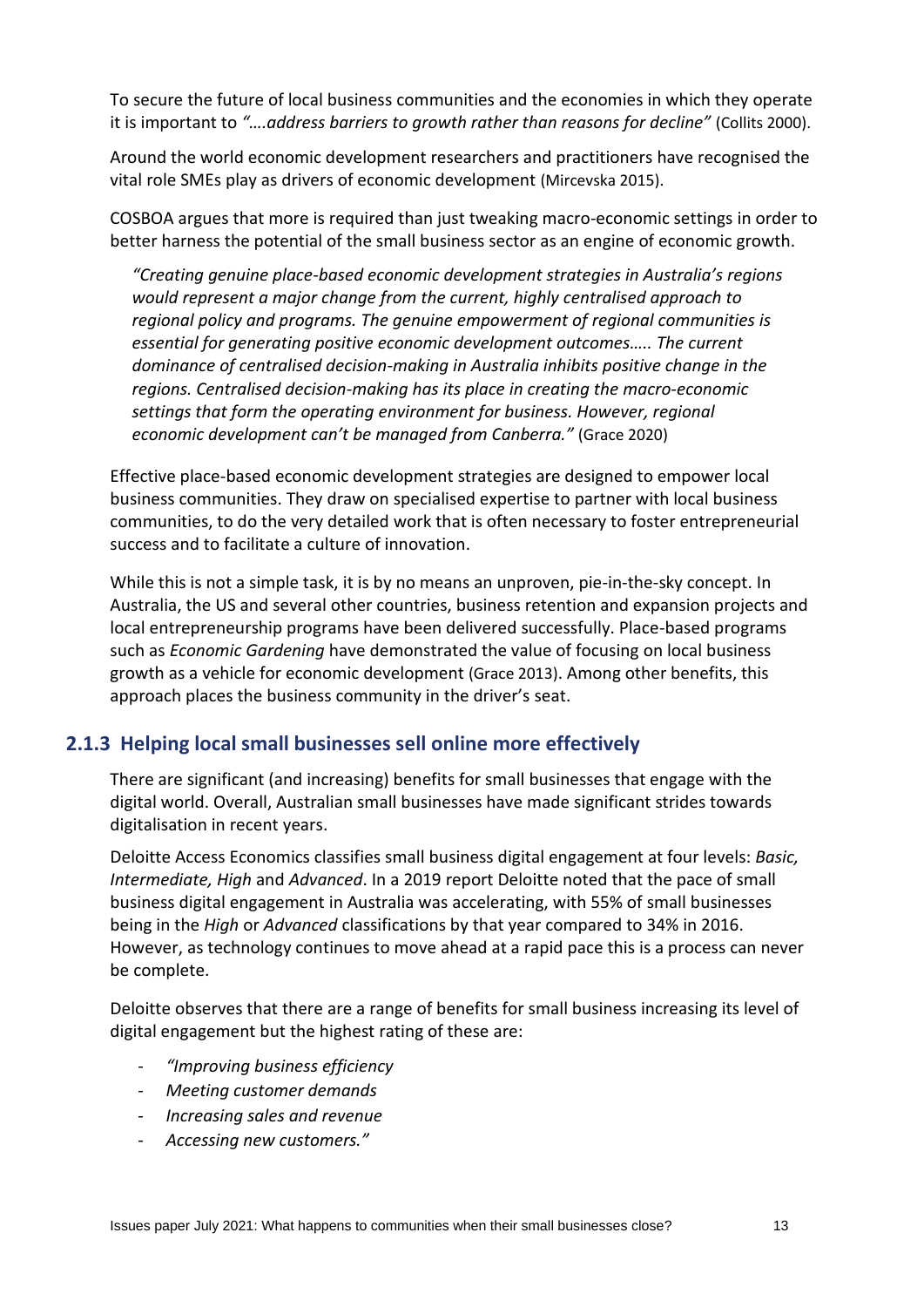To secure the future of local business communities and the economies in which they operate it is important to *"….address barriers to growth rather than reasons for decline"* (Collits 2000).

Around the world economic development researchers and practitioners have recognised the vital role SMEs play as drivers of economic development (Mircevska 2015).

COSBOA argues that more is required than just tweaking macro-economic settings in order to better harness the potential of the small business sector as an engine of economic growth.

*"Creating genuine place-based economic development strategies in Australia's regions would represent a major change from the current, highly centralised approach to regional policy and programs. The genuine empowerment of regional communities is essential for generating positive economic development outcomes….. The current dominance of centralised decision-making in Australia inhibits positive change in the regions. Centralised decision-making has its place in creating the macro-economic settings that form the operating environment for business. However, regional economic development can't be managed from Canberra."* (Grace 2020)

Effective place-based economic development strategies are designed to empower local business communities. They draw on specialised expertise to partner with local business communities, to do the very detailed work that is often necessary to foster entrepreneurial success and to facilitate a culture of innovation.

While this is not a simple task, it is by no means an unproven, pie-in-the-sky concept. In Australia, the US and several other countries, business retention and expansion projects and local entrepreneurship programs have been delivered successfully. Place-based programs such as *Economic Gardening* have demonstrated the value of focusing on local business growth as a vehicle for economic development (Grace 2013). Among other benefits, this approach places the business community in the driver's seat.

#### **2.1.3 Helping local small businesses sell online more effectively**

There are significant (and increasing) benefits for small businesses that engage with the digital world. Overall, Australian small businesses have made significant strides towards digitalisation in recent years.

Deloitte Access Economics classifies small business digital engagement at four levels: *Basic, Intermediate, High* and *Advanced*. In a 2019 report Deloitte noted that the pace of small business digital engagement in Australia was accelerating, with 55% of small businesses being in the *High* or *Advanced* classifications by that year compared to 34% in 2016. However, as technology continues to move ahead at a rapid pace this is a process can never be complete.

Deloitte observes that there are a range of benefits for small business increasing its level of digital engagement but the highest rating of these are:

- *"Improving business efficiency*
- *Meeting customer demands*
- *Increasing sales and revenue*
- *Accessing new customers."*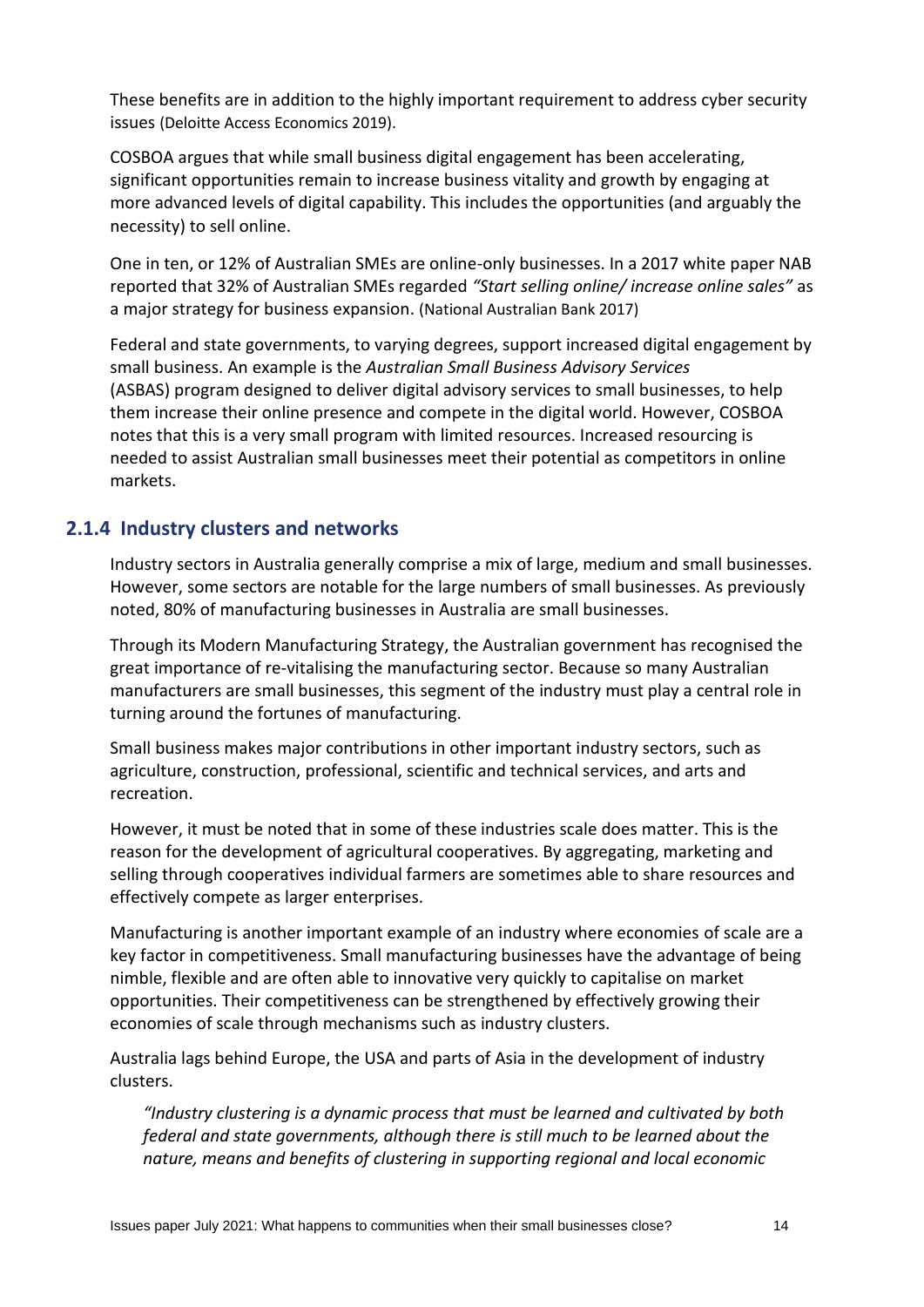These benefits are in addition to the highly important requirement to address cyber security issues (Deloitte Access Economics 2019).

COSBOA argues that while small business digital engagement has been accelerating, significant opportunities remain to increase business vitality and growth by engaging at more advanced levels of digital capability. This includes the opportunities (and arguably the necessity) to sell online.

One in ten, or 12% of Australian SMEs are online-only businesses. In a 2017 white paper NAB reported that 32% of Australian SMEs regarded *"Start selling online/ increase online sales"* as a major strategy for business expansion. (National Australian Bank 2017)

Federal and state governments, to varying degrees, support increased digital engagement by small business. An example is the *Australian Small Business Advisory Services*  (ASBAS) program designed to deliver digital advisory services to small businesses, to help them increase their online presence and compete in the digital world. However, COSBOA notes that this is a very small program with limited resources. Increased resourcing is needed to assist Australian small businesses meet their potential as competitors in online markets.

## **2.1.4 Industry clusters and networks**

Industry sectors in Australia generally comprise a mix of large, medium and small businesses. However, some sectors are notable for the large numbers of small businesses. As previously noted, 80% of manufacturing businesses in Australia are small businesses.

Through its Modern Manufacturing Strategy, the Australian government has recognised the great importance of re-vitalising the manufacturing sector. Because so many Australian manufacturers are small businesses, this segment of the industry must play a central role in turning around the fortunes of manufacturing.

Small business makes major contributions in other important industry sectors, such as agriculture, construction, professional, scientific and technical services, and arts and recreation.

However, it must be noted that in some of these industries scale does matter. This is the reason for the development of agricultural cooperatives. By aggregating, marketing and selling through cooperatives individual farmers are sometimes able to share resources and effectively compete as larger enterprises.

Manufacturing is another important example of an industry where economies of scale are a key factor in competitiveness. Small manufacturing businesses have the advantage of being nimble, flexible and are often able to innovative very quickly to capitalise on market opportunities. Their competitiveness can be strengthened by effectively growing their economies of scale through mechanisms such as industry clusters.

Australia lags behind Europe, the USA and parts of Asia in the development of industry clusters.

*"Industry clustering is a dynamic process that must be learned and cultivated by both federal and state governments, although there is still much to be learned about the nature, means and benefits of clustering in supporting regional and local economic*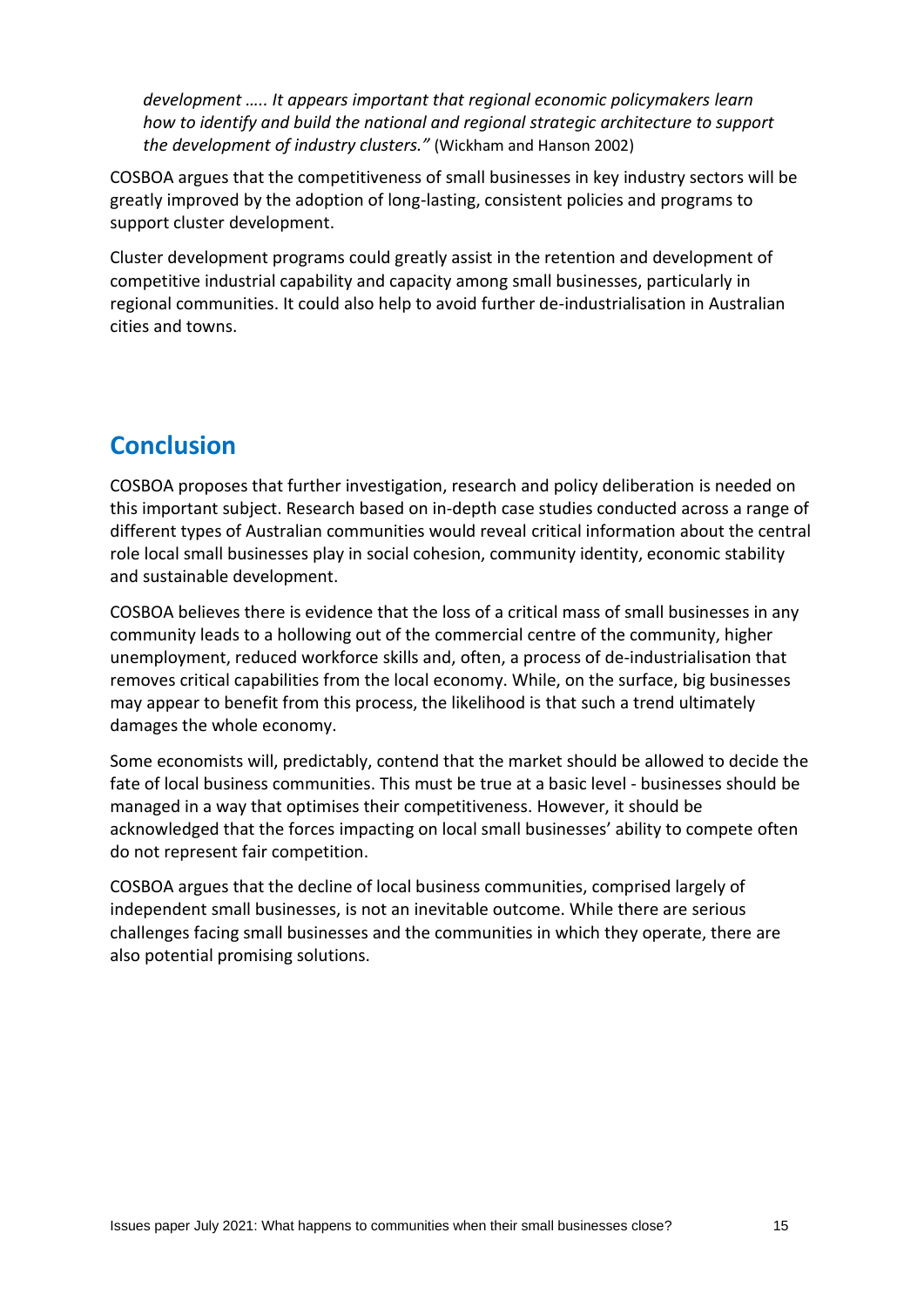*development ..... It appears important that regional economic policymakers learn how to identify and build the national and regional strategic architecture to support the development of industry clusters."* (Wickham and Hanson 2002)

COSBOA argues that the competitiveness of small businesses in key industry sectors will be greatly improved by the adoption of long-lasting, consistent policies and programs to support cluster development.

Cluster development programs could greatly assist in the retention and development of competitive industrial capability and capacity among small businesses, particularly in regional communities. It could also help to avoid further de-industrialisation in Australian cities and towns.

# **Conclusion**

COSBOA proposes that further investigation, research and policy deliberation is needed on this important subject. Research based on in-depth case studies conducted across a range of different types of Australian communities would reveal critical information about the central role local small businesses play in social cohesion, community identity, economic stability and sustainable development.

COSBOA believes there is evidence that the loss of a critical mass of small businesses in any community leads to a hollowing out of the commercial centre of the community, higher unemployment, reduced workforce skills and, often, a process of de-industrialisation that removes critical capabilities from the local economy. While, on the surface, big businesses may appear to benefit from this process, the likelihood is that such a trend ultimately damages the whole economy.

Some economists will, predictably, contend that the market should be allowed to decide the fate of local business communities. This must be true at a basic level - businesses should be managed in a way that optimises their competitiveness. However, it should be acknowledged that the forces impacting on local small businesses' ability to compete often do not represent fair competition.

COSBOA argues that the decline of local business communities, comprised largely of independent small businesses, is not an inevitable outcome. While there are serious challenges facing small businesses and the communities in which they operate, there are also potential promising solutions.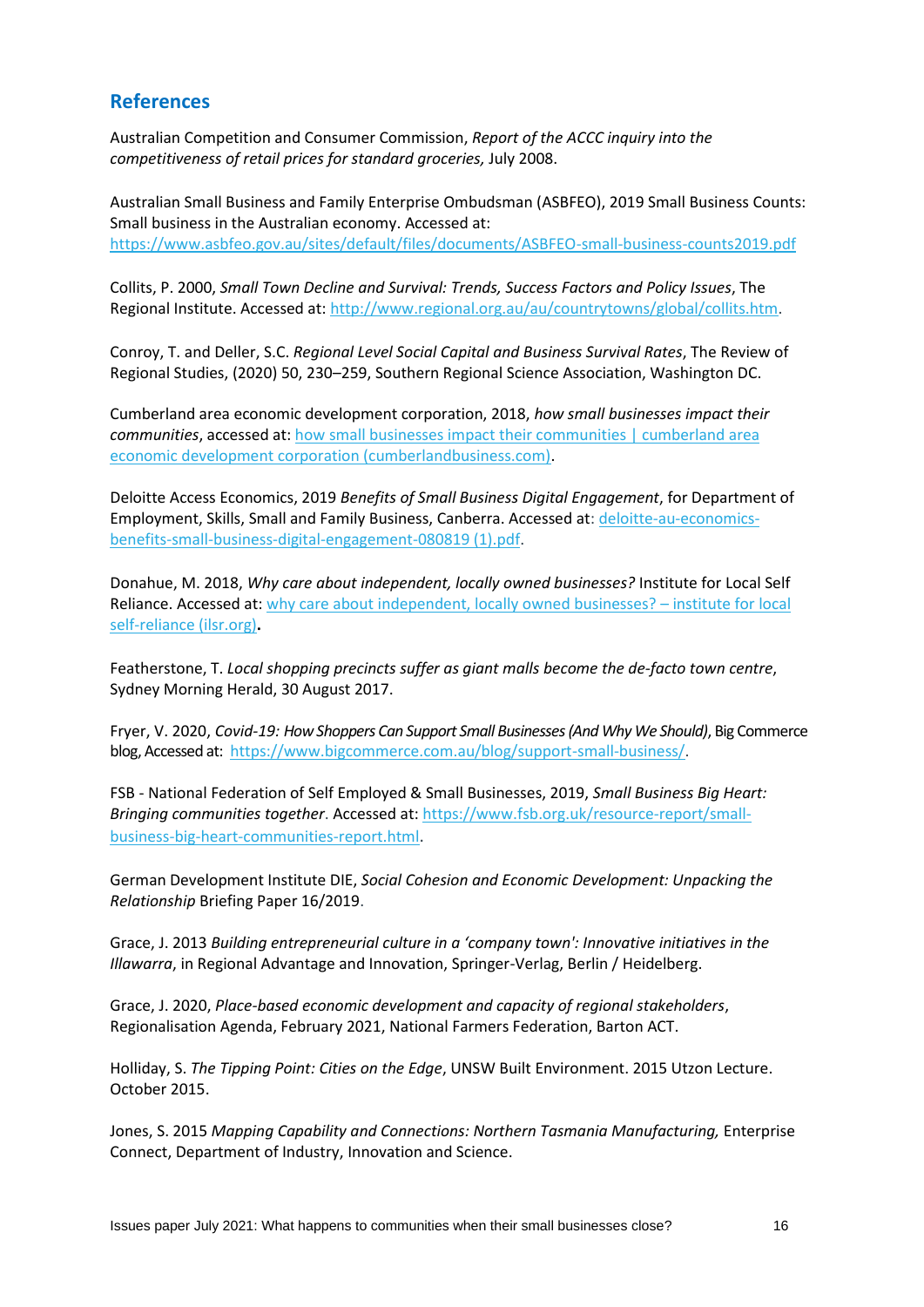## **References**

Australian Competition and Consumer Commission, *Report of the ACCC inquiry into the competitiveness of retail prices for standard groceries,* July 2008.

Australian Small Business and Family Enterprise Ombudsman (ASBFEO), 2019 Small Business Counts: Small business in the Australian economy. Accessed at: <https://www.asbfeo.gov.au/sites/default/files/documents/ASBFEO-small-business-counts2019.pdf>

Collits, P. 2000, *Small Town Decline and Survival: Trends, Success Factors and Policy Issues*, The Regional Institute. Accessed at[: http://www.regional.org.au/au/countrytowns/global/collits.htm.](http://www.regional.org.au/au/countrytowns/global/collits.htm)

Conroy, T. and Deller, S.C. *Regional Level Social Capital and Business Survival Rates*, The Review of Regional Studies, (2020) 50, 230–259, Southern Regional Science Association, Washington DC.

Cumberland area economic development corporation, 2018, *how small businesses impact their communities*, accessed at: [how small businesses impact their communities | cumberland area](https://cumberlandbusiness.com/news/how-small-businesses-impact-their-communities/)  [economic development corporation \(cumberlandbusiness.com\).](https://cumberlandbusiness.com/news/how-small-businesses-impact-their-communities/)

Deloitte Access Economics, 2019 *Benefits of Small Business Digital Engagement*, for Department of Employment, Skills, Small and Family Business, Canberra. Accessed at: [deloitte-au-economics](file:///C:/Users/John%20Grace/Dropbox/My%20PC%20(DESKTOP-TG1LH6O)/Downloads/deloitte-au-economics-benefits-small-business-digital-engagement-080819%20(1).pdf)[benefits-small-business-digital-engagement-080819 \(1\).pdf.](file:///C:/Users/John%20Grace/Dropbox/My%20PC%20(DESKTOP-TG1LH6O)/Downloads/deloitte-au-economics-benefits-small-business-digital-engagement-080819%20(1).pdf)

Donahue, M. 2018, *Why care about independent, locally owned businesses?* Institute for Local Self Reliance. Accessed at: [why care about independent, locally owned businesses?](https://ilsr.org/why-care-about-independent-locally-owned-businesses/) – institute for local [self-reliance \(ilsr.org\)](https://ilsr.org/why-care-about-independent-locally-owned-businesses/)**.**

Featherstone, T. *Local shopping precincts suffer as giant malls become the de-facto town centre*, Sydney Morning Herald, 30 August 2017.

Fryer, V. 2020, *Covid-19: How Shoppers Can Support Small Businesses (And Why We Should)*, Big Commerce blog, Accessed at: [https://www.bigcommerce.com.au/blog/support-small-business/.](https://www.bigcommerce.com.au/blog/support-small-business/)

FSB - National Federation of Self Employed & Small Businesses, 2019, *Small Business Big Heart: Bringing communities together*. Accessed at: [https://www.fsb.org.uk/resource-report/small](https://www.fsb.org.uk/resource-report/small-business-big-heart-communities-report.html)[business-big-heart-communities-report.html](https://www.fsb.org.uk/resource-report/small-business-big-heart-communities-report.html).

German Development Institute DIE, *Social Cohesion and Economic Development: Unpacking the Relationship* Briefing Paper 16/2019.

Grace, J. 2013 *Building entrepreneurial culture in a 'company town': Innovative initiatives in the Illawarra*, in Regional Advantage and Innovation, Springer-Verlag, Berlin / Heidelberg.

Grace, J. 2020, *Place-based economic development and capacity of regional stakeholders*, Regionalisation Agenda, February 2021, National Farmers Federation, Barton ACT.

Holliday, S. *The Tipping Point: Cities on the Edge*, UNSW Built Environment. 2015 Utzon Lecture. October 2015.

Jones, S. 2015 *Mapping Capability and Connections: Northern Tasmania Manufacturing,* Enterprise Connect, Department of Industry, Innovation and Science.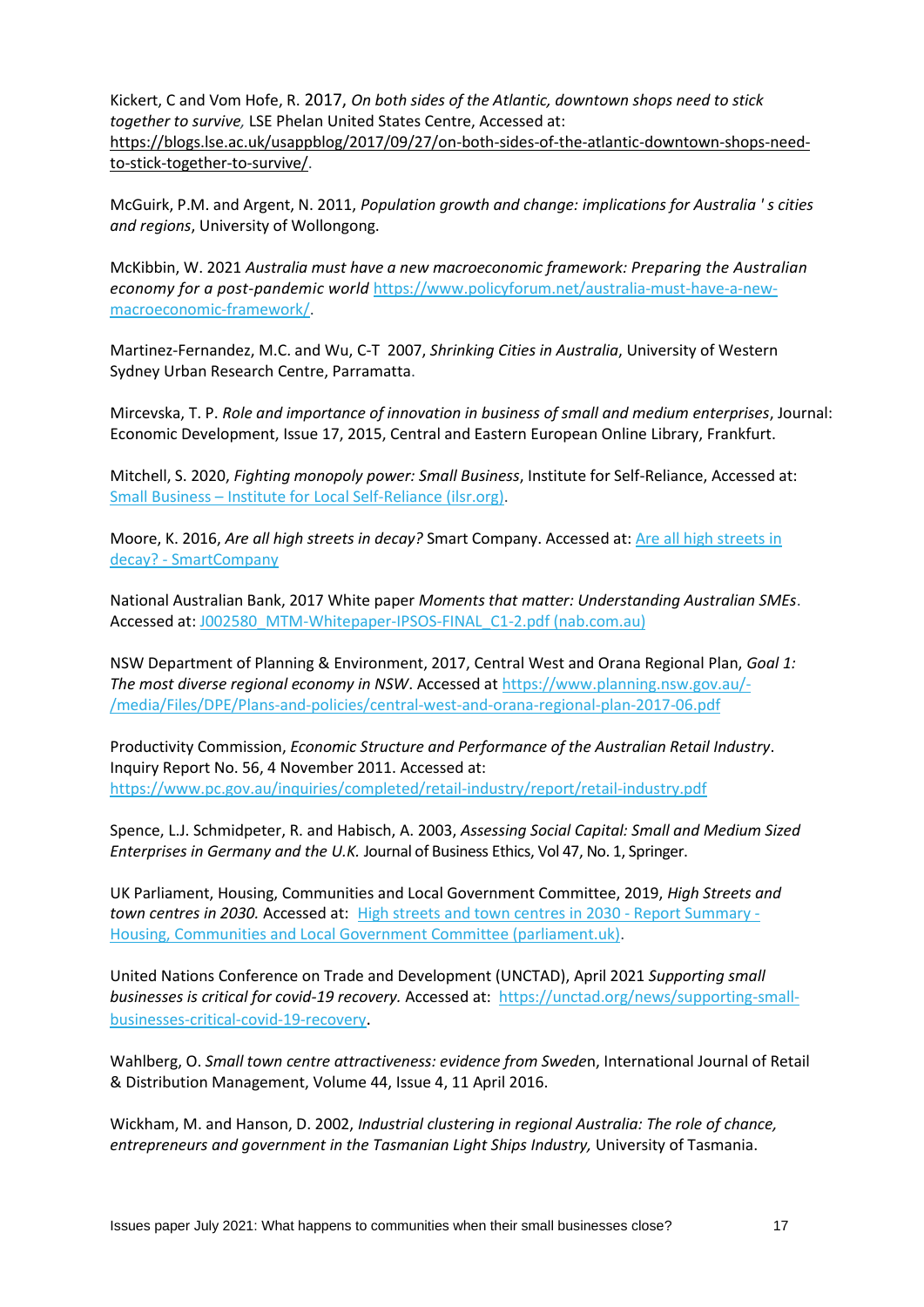Kickert, C and Vom Hofe, R. 2017, *[On both sides of the Atlantic, downtown shops need to stick](https://blogs.lse.ac.uk/usappblog/2017/09/27/on-both-sides-of-the-atlantic-downtown-shops-need-to-stick-together-to-survive/)  [together to survive,](https://blogs.lse.ac.uk/usappblog/2017/09/27/on-both-sides-of-the-atlantic-downtown-shops-need-to-stick-together-to-survive/)* LSE Phelan United States Centre, Accessed at: [https://blogs.lse.ac.uk/usappblog/2017/09/27/on-both-sides-of-the-atlantic-downtown-shops-need](https://blogs.lse.ac.uk/usappblog/2017/09/27/on-both-sides-of-the-atlantic-downtown-shops-need-to-stick-together-to-survive/)[to-stick-together-to-survive/.](https://blogs.lse.ac.uk/usappblog/2017/09/27/on-both-sides-of-the-atlantic-downtown-shops-need-to-stick-together-to-survive/)

McGuirk, P.M. and Argent, N. 2011, *Population growth and change: implications for Australia ' s cities and regions*, University of Wollongong.

McKibbin, W. 2021 *Australia must have a new macroeconomic framework: Preparing the Australian economy for a post-pandemic world* [https://www.policyforum.net/australia-must-have-a-new](https://www.policyforum.net/australia-must-have-a-new-macroeconomic-framework/)[macroeconomic-framework/.](https://www.policyforum.net/australia-must-have-a-new-macroeconomic-framework/)

Martinez-Fernandez, M.C. and Wu, C-T 2007, *Shrinking Cities in Australia*, University of Western Sydney Urban Research Centre, Parramatta.

Mircevska, T. P. *Role and importance of innovation in business of small and medium enterprises*, Journal: Economic Development, Issue 17, 2015, Central and Eastern European Online Library, Frankfurt.

Mitchell, S. 2020, *Fighting monopoly power: Small Business*, Institute for Self-Reliance, Accessed at: Small Business – [Institute for Local Self-Reliance \(ilsr.org\).](https://ilsr.org/fighting-monopoly-power/small-business/)

Moore, K. 2016, *Are all high streets in decay?* Smart Company. Accessed at[: Are all high streets in](https://www.smartcompany.com.au/industries/retail/high-streets-decay/)  decay? - [SmartCompany](https://www.smartcompany.com.au/industries/retail/high-streets-decay/)

National Australian Bank, 2017 White paper *Moments that matter: Understanding Australian SMEs*. Accessed at: [J002580\\_MTM-Whitepaper-IPSOS-FINAL\\_C1-2.pdf \(nab.com.au\)](https://business.nab.com.au/wp-content/uploads/2017/06/J002580_MTM-Whitepaper-IPSOS-FINAL_C1-2.pdf)

NSW Department of Planning & Environment, 2017, Central West and Orana Regional Plan, *Goal 1: The most diverse regional economy in NSW*. Accessed a[t https://www.planning.nsw.gov.au/-](https://www.planning.nsw.gov.au/-/media/Files/DPE/Plans-and-policies/central-west-and-orana-regional-plan-2017-06.pdf) [/media/Files/DPE/Plans-and-policies/central-west-and-orana-regional-plan-2017-06.pdf](https://www.planning.nsw.gov.au/-/media/Files/DPE/Plans-and-policies/central-west-and-orana-regional-plan-2017-06.pdf)

Productivity Commission, *Economic Structure and Performance of the Australian Retail Industry*. Inquiry Report No. 56, 4 November 2011. Accessed at: <https://www.pc.gov.au/inquiries/completed/retail-industry/report/retail-industry.pdf>

Spence, L.J. Schmidpeter, R. and Habisch, A. 2003, *Assessing Social Capital: Small and Medium Sized Enterprises in Germany and the U.K.* Journal of Business Ethics, Vol 47, No. 1, Springer.

UK Parliament, Housing, Communities and Local Government Committee, 2019, *High Streets and town centres in 2030.* Accessed at: [High streets and town centres in 2030 -](https://publications.parliament.uk/pa/cm201719/cmselect/cmcomloc/1010/report-summary.html#heading-1) Report Summary - [Housing, Communities and Local Government Committee \(parliament.uk\).](https://publications.parliament.uk/pa/cm201719/cmselect/cmcomloc/1010/report-summary.html#heading-1)

United Nations Conference on Trade and Development (UNCTAD), April 2021 *Supporting small businesses is critical for covid-19 recovery.* Accessed at: [https://unctad.org/news/supporting-small](https://unctad.org/news/supporting-small-businesses-critical-covid-19-recovery)[businesses-critical-covid-19-recovery](https://unctad.org/news/supporting-small-businesses-critical-covid-19-recovery).

Wahlberg, O. *Small town centre attractiveness: evidence from Swede*n, International Journal of Retail & Distribution Management, Volume 44, Issue 4, 11 April 2016.

Wickham, M. and Hanson, D. 2002, *Industrial clustering in regional Australia: The role of chance, entrepreneurs and government in the Tasmanian Light Ships Industry,* University of Tasmania.